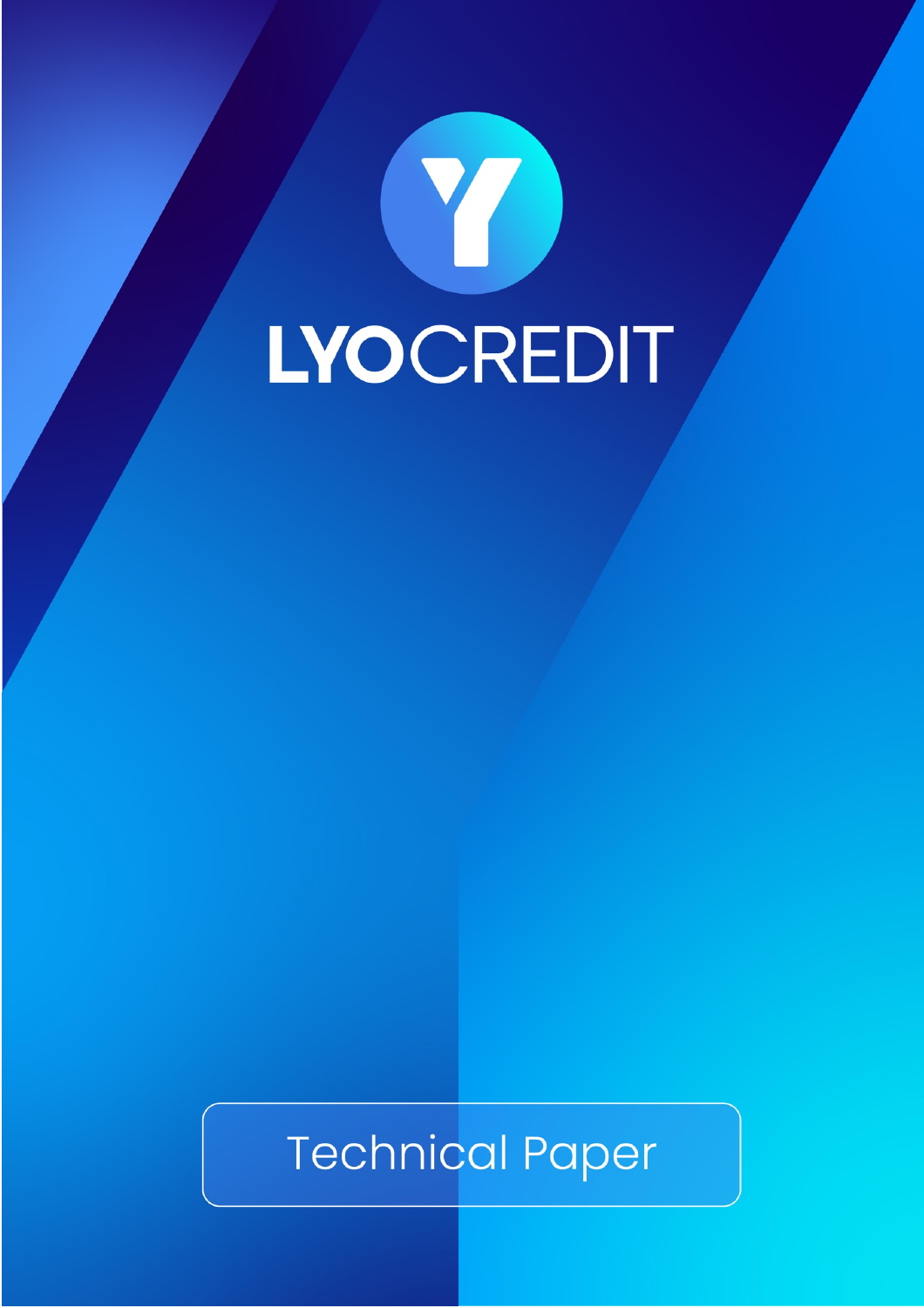# Y LYOCREDIT

# **Technical Paper**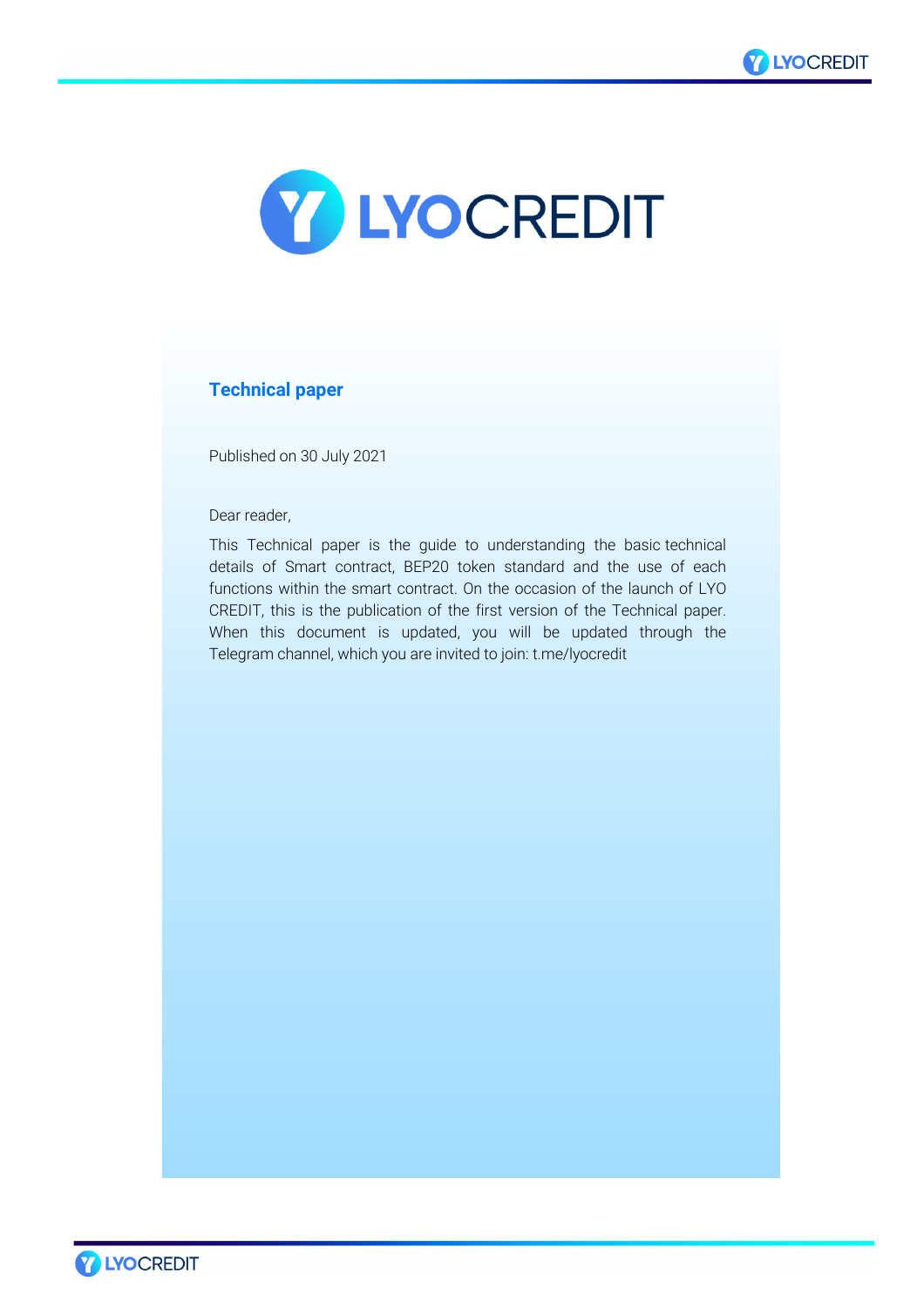



# **Technical paper**

Published on 30 July 2021

Dear reader,

This Technical paper is the guide to understanding the basic technical details of Smart contract, BEP20 token standard and the use of each functions within the smart contract. On the occasion of the launch of LYO CREDIT, this is the publication of the first version of the Technical paper. When this document is updated, you will be updated through the Telegram channel, which you are invited to join: t.me/lyocredit

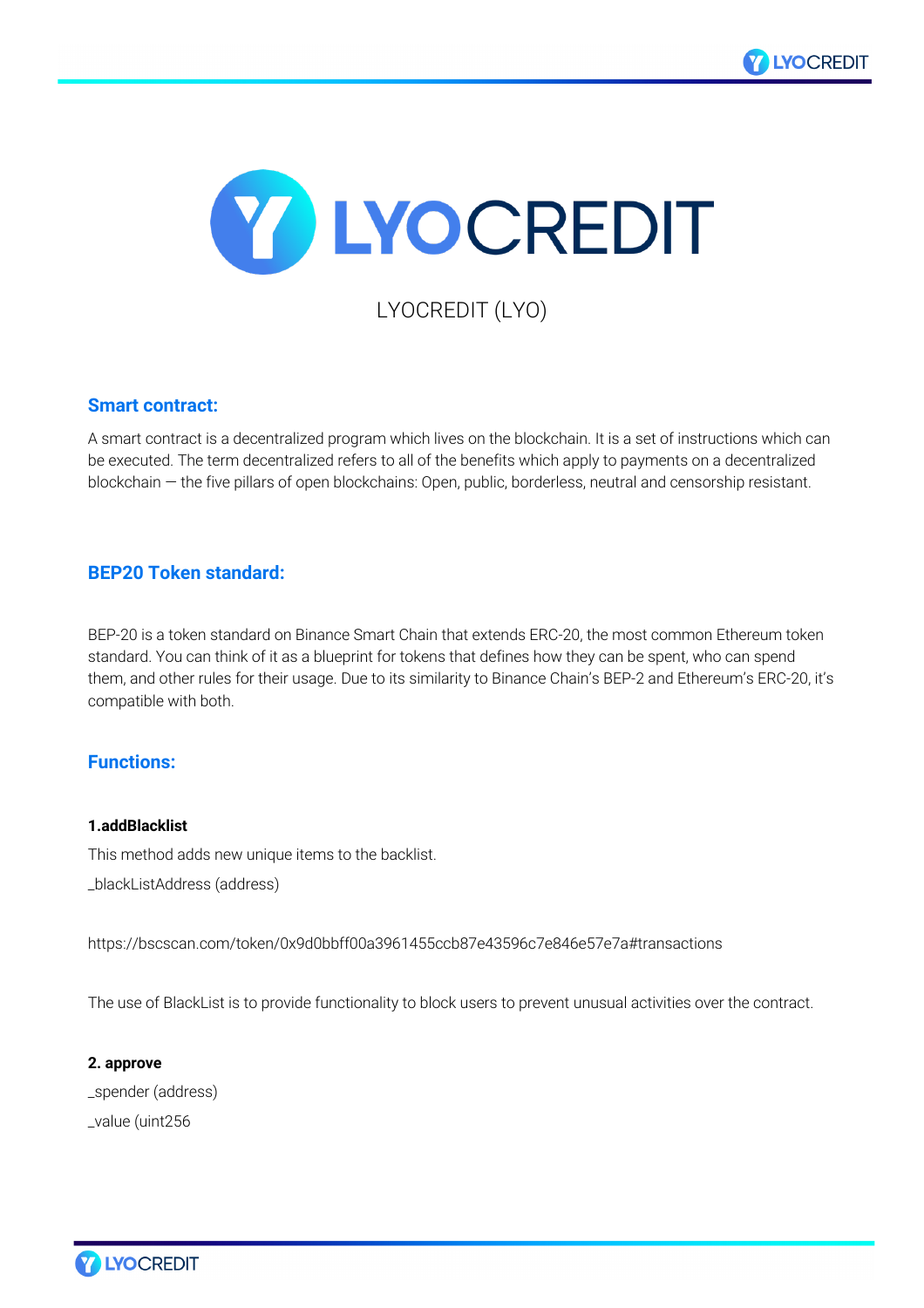



LYOCREDIT (LYO)

# **Smart contract:**

A smart contract is a decentralized program which lives on the blockchain. It is a set of instructions which can be executed. The term decentralized refers to all of the benefits which apply to payments on a decentralized blockchain — the five pillars of open blockchains: Open, public, borderless, neutral and censorship resistant.

# **BEP20 Token standard:**

BEP-20 is a token standard on Binance Smart Chain that extends ERC-20, the most common Ethereum token standard. You can think of it as a blueprint for tokens that defines how they can be spent, who can spend them, and other rules for their usage. Due to its similarity to Binance Chain's BEP-2 and Ethereum's ERC-20, it's compatible with both.

# **Functions:**

#### **1.addBlacklist**

This method adds new unique items to the backlist.

\_blackListAddress (address)

https://bscscan.com/token/0x9d0bbff00a3961455ccb87e43596c7e846e57e7a#transactions

The use of BlackList is to provide functionality to block users to prevent unusual activities over the contract.

**2. approve** \_spender (address) \_value (uint256

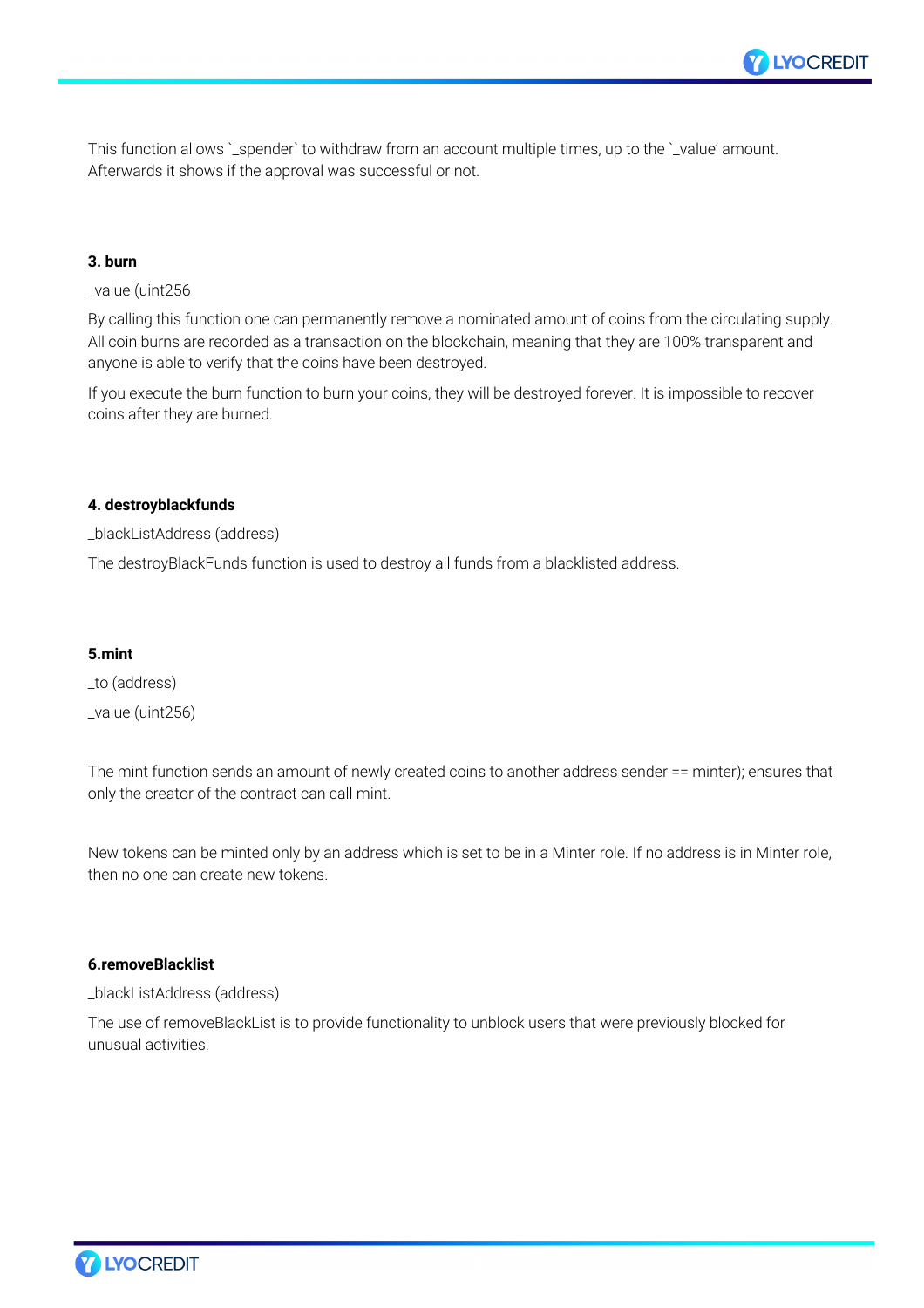

This function allows `\_spender` to withdraw from an account multiple times, up to the `\_value' amount. Afterwards it shows if the approval was successful or not.

#### **3. burn**

#### \_value (uint256

By calling this function one can permanently remove a nominated amount of coins from the circulating supply. All coin burns are recorded as a transaction on the blockchain, meaning that they are 100% transparent and anyone is able to verify that the coins have been destroyed.

If you execute the burn function to burn your coins, they will be destroyed forever. It is impossible to recover coins after they are burned.

#### **4. destroyblackfunds**

\_blackListAddress (address)

The destroyBlackFunds function is used to destroy all funds from a blacklisted address.

#### **5.mint**

\_to (address) \_value (uint256)

The mint function sends an amount of newly created coins to another address sender == minter); ensures that only the creator of the contract can call mint.

New tokens can be minted only by an address which is set to be in a Minter role. If no address is in Minter role, then no one can create new tokens.

#### **6.removeBlacklist**

\_blackListAddress (address)

The use of removeBlackList is to provide functionality to unblock users that were previously blocked for unusual activities.